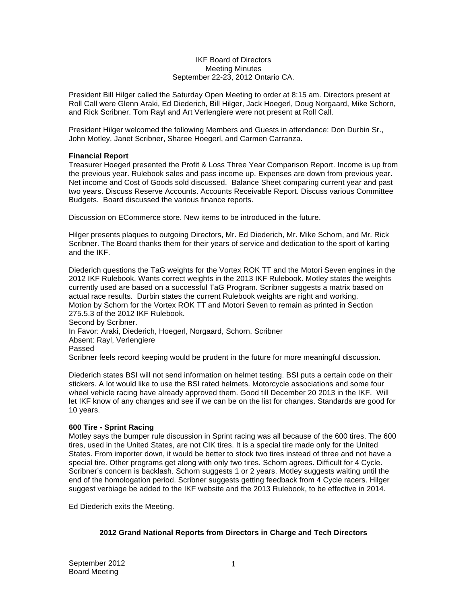## IKF Board of Directors Meeting Minutes September 22-23, 2012 Ontario CA.

President Bill Hilger called the Saturday Open Meeting to order at 8:15 am. Directors present at Roll Call were Glenn Araki, Ed Diederich, Bill Hilger, Jack Hoegerl, Doug Norgaard, Mike Schorn, and Rick Scribner. Tom Rayl and Art Verlengiere were not present at Roll Call.

President Hilger welcomed the following Members and Guests in attendance: Don Durbin Sr., John Motley, Janet Scribner, Sharee Hoegerl, and Carmen Carranza.

## **Financial Report**

Treasurer Hoegerl presented the Profit & Loss Three Year Comparison Report. Income is up from the previous year. Rulebook sales and pass income up. Expenses are down from previous year. Net income and Cost of Goods sold discussed. Balance Sheet comparing current year and past two years. Discuss Reserve Accounts. Accounts Receivable Report. Discuss various Committee Budgets. Board discussed the various finance reports.

Discussion on ECommerce store. New items to be introduced in the future.

Hilger presents plaques to outgoing Directors, Mr. Ed Diederich, Mr. Mike Schorn, and Mr. Rick Scribner. The Board thanks them for their years of service and dedication to the sport of karting and the IKF.

Diederich questions the TaG weights for the Vortex ROK TT and the Motori Seven engines in the 2012 IKF Rulebook. Wants correct weights in the 2013 IKF Rulebook. Motley states the weights currently used are based on a successful TaG Program. Scribner suggests a matrix based on actual race results. Durbin states the current Rulebook weights are right and working. Motion by Schorn for the Vortex ROK TT and Motori Seven to remain as printed in Section 275.5.3 of the 2012 IKF Rulebook. Second by Scribner. In Favor: Araki, Diederich, Hoegerl, Norgaard, Schorn, Scribner Absent: Rayl, Verlengiere Passed

Scribner feels record keeping would be prudent in the future for more meaningful discussion.

Diederich states BSI will not send information on helmet testing. BSI puts a certain code on their stickers. A lot would like to use the BSI rated helmets. Motorcycle associations and some four wheel vehicle racing have already approved them. Good till December 20 2013 in the IKF. Will let IKF know of any changes and see if we can be on the list for changes. Standards are good for 10 years.

## **600 Tire - Sprint Racing**

Motley says the bumper rule discussion in Sprint racing was all because of the 600 tires. The 600 tires, used in the United States, are not CIK tires. It is a special tire made only for the United States. From importer down, it would be better to stock two tires instead of three and not have a special tire. Other programs get along with only two tires. Schorn agrees. Difficult for 4 Cycle. Scribner's concern is backlash. Schorn suggests 1 or 2 years. Motley suggests waiting until the end of the homologation period. Scribner suggests getting feedback from 4 Cycle racers. Hilger suggest verbiage be added to the IKF website and the 2013 Rulebook, to be effective in 2014.

Ed Diederich exits the Meeting.

## **2012 Grand National Reports from Directors in Charge and Tech Directors**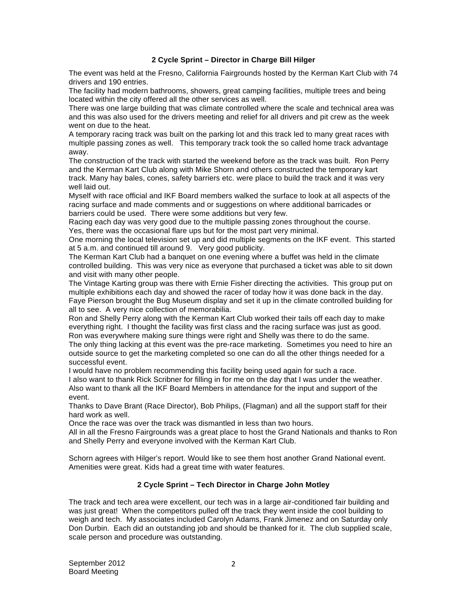## **2 Cycle Sprint – Director in Charge Bill Hilger**

The event was held at the Fresno, California Fairgrounds hosted by the Kerman Kart Club with 74 drivers and 190 entries.

The facility had modern bathrooms, showers, great camping facilities, multiple trees and being located within the city offered all the other services as well.

There was one large building that was climate controlled where the scale and technical area was and this was also used for the drivers meeting and relief for all drivers and pit crew as the week went on due to the heat.

A temporary racing track was built on the parking lot and this track led to many great races with multiple passing zones as well. This temporary track took the so called home track advantage away.

The construction of the track with started the weekend before as the track was built. Ron Perry and the Kerman Kart Club along with Mike Shorn and others constructed the temporary kart track. Many hay bales, cones, safety barriers etc. were place to build the track and it was very well laid out.

Myself with race official and IKF Board members walked the surface to look at all aspects of the racing surface and made comments and or suggestions on where additional barricades or barriers could be used. There were some additions but very few.

Racing each day was very good due to the multiple passing zones throughout the course. Yes, there was the occasional flare ups but for the most part very minimal.

One morning the local television set up and did multiple segments on the IKF event. This started at 5 a.m. and continued till around 9. Very good publicity.

The Kerman Kart Club had a banquet on one evening where a buffet was held in the climate controlled building. This was very nice as everyone that purchased a ticket was able to sit down and visit with many other people.

The Vintage Karting group was there with Ernie Fisher directing the activities. This group put on multiple exhibitions each day and showed the racer of today how it was done back in the day. Faye Pierson brought the Bug Museum display and set it up in the climate controlled building for all to see. A very nice collection of memorabilia.

Ron and Shelly Perry along with the Kerman Kart Club worked their tails off each day to make everything right. I thought the facility was first class and the racing surface was just as good. Ron was everywhere making sure things were right and Shelly was there to do the same.

The only thing lacking at this event was the pre-race marketing. Sometimes you need to hire an outside source to get the marketing completed so one can do all the other things needed for a successful event.

I would have no problem recommending this facility being used again for such a race.

I also want to thank Rick Scribner for filling in for me on the day that I was under the weather. Also want to thank all the IKF Board Members in attendance for the input and support of the event.

Thanks to Dave Brant (Race Director), Bob Philips, (Flagman) and all the support staff for their hard work as well.

Once the race was over the track was dismantled in less than two hours.

All in all the Fresno Fairgrounds was a great place to host the Grand Nationals and thanks to Ron and Shelly Perry and everyone involved with the Kerman Kart Club.

Schorn agrees with Hilger's report. Would like to see them host another Grand National event. Amenities were great. Kids had a great time with water features.

## **2 Cycle Sprint – Tech Director in Charge John Motley**

The track and tech area were excellent, our tech was in a large air-conditioned fair building and was just great! When the competitors pulled off the track they went inside the cool building to weigh and tech. My associates included Carolyn Adams, Frank Jimenez and on Saturday only Don Durbin. Each did an outstanding job and should be thanked for it. The club supplied scale, scale person and procedure was outstanding.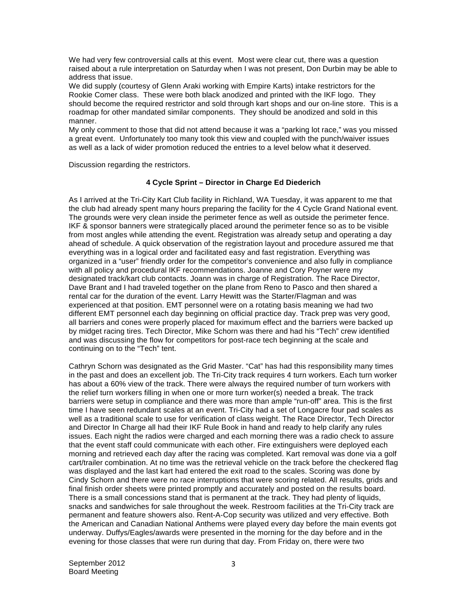We had very few controversial calls at this event. Most were clear cut, there was a question raised about a rule interpretation on Saturday when I was not present, Don Durbin may be able to address that issue.

We did supply (courtesy of Glenn Araki working with Empire Karts) intake restrictors for the Rookie Comer class. These were both black anodized and printed with the IKF logo. They should become the required restrictor and sold through kart shops and our on-line store. This is a roadmap for other mandated similar components. They should be anodized and sold in this manner.

My only comment to those that did not attend because it was a "parking lot race," was you missed a great event. Unfortunately too many took this view and coupled with the punch/waiver issues as well as a lack of wider promotion reduced the entries to a level below what it deserved.

Discussion regarding the restrictors.

## **4 Cycle Sprint – Director in Charge Ed Diederich**

As I arrived at the Tri-City Kart Club facility in Richland, WA Tuesday, it was apparent to me that the club had already spent many hours preparing the facility for the 4 Cycle Grand National event. The grounds were very clean inside the perimeter fence as well as outside the perimeter fence. IKF & sponsor banners were strategically placed around the perimeter fence so as to be visible from most angles while attending the event. Registration was already setup and operating a day ahead of schedule. A quick observation of the registration layout and procedure assured me that everything was in a logical order and facilitated easy and fast registration. Everything was organized in a "user" friendly order for the competitor's convenience and also fully in compliance with all policy and procedural IKF recommendations. Joanne and Cory Poyner were my designated track/kart club contacts. Joann was in charge of Registration. The Race Director, Dave Brant and I had traveled together on the plane from Reno to Pasco and then shared a rental car for the duration of the event. Larry Hewitt was the Starter/Flagman and was experienced at that position. EMT personnel were on a rotating basis meaning we had two different EMT personnel each day beginning on official practice day. Track prep was very good, all barriers and cones were properly placed for maximum effect and the barriers were backed up by midget racing tires. Tech Director, Mike Schorn was there and had his "Tech" crew identified and was discussing the flow for competitors for post-race tech beginning at the scale and continuing on to the "Tech" tent.

Cathryn Schorn was designated as the Grid Master. "Cat" has had this responsibility many times in the past and does an excellent job. The Tri-City track requires 4 turn workers. Each turn worker has about a 60% view of the track. There were always the required number of turn workers with the relief turn workers filling in when one or more turn worker(s) needed a break. The track barriers were setup in compliance and there was more than ample "run-off" area. This is the first time I have seen redundant scales at an event. Tri-City had a set of Longacre four pad scales as well as a traditional scale to use for verification of class weight. The Race Director, Tech Director and Director In Charge all had their IKF Rule Book in hand and ready to help clarify any rules issues. Each night the radios were charged and each morning there was a radio check to assure that the event staff could communicate with each other. Fire extinguishers were deployed each morning and retrieved each day after the racing was completed. Kart removal was done via a golf cart/trailer combination. At no time was the retrieval vehicle on the track before the checkered flag was displayed and the last kart had entered the exit road to the scales. Scoring was done by Cindy Schorn and there were no race interruptions that were scoring related. All results, grids and final finish order sheets were printed promptly and accurately and posted on the results board. There is a small concessions stand that is permanent at the track. They had plenty of liquids, snacks and sandwiches for sale throughout the week. Restroom facilities at the Tri-City track are permanent and feature showers also. Rent-A-Cop security was utilized and very effective. Both the American and Canadian National Anthems were played every day before the main events got underway. Duffys/Eagles/awards were presented in the morning for the day before and in the evening for those classes that were run during that day. From Friday on, there were two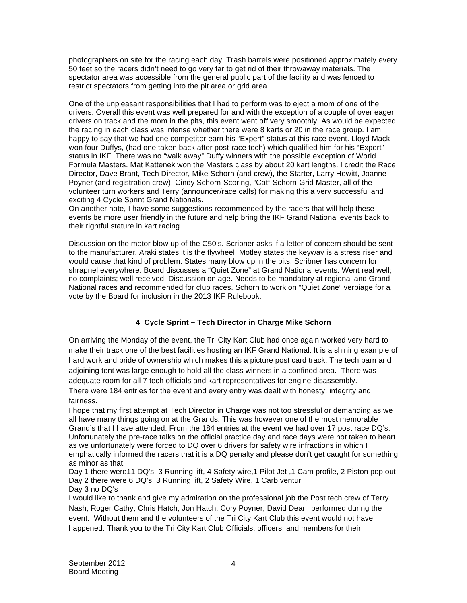photographers on site for the racing each day. Trash barrels were positioned approximately every 50 feet so the racers didn't need to go very far to get rid of their throwaway materials. The spectator area was accessible from the general public part of the facility and was fenced to restrict spectators from getting into the pit area or grid area.

One of the unpleasant responsibilities that I had to perform was to eject a mom of one of the drivers. Overall this event was well prepared for and with the exception of a couple of over eager drivers on track and the mom in the pits, this event went off very smoothly. As would be expected, the racing in each class was intense whether there were 8 karts or 20 in the race group. I am happy to say that we had one competitor earn his "Expert" status at this race event. Lloyd Mack won four Duffys, (had one taken back after post-race tech) which qualified him for his "Expert" status in IKF. There was no "walk away" Duffy winners with the possible exception of World Formula Masters. Mat Kattenek won the Masters class by about 20 kart lengths. I credit the Race Director, Dave Brant, Tech Director, Mike Schorn (and crew), the Starter, Larry Hewitt, Joanne Poyner (and registration crew), Cindy Schorn-Scoring, "Cat" Schorn-Grid Master, all of the volunteer turn workers and Terry (announcer/race calls) for making this a very successful and exciting 4 Cycle Sprint Grand Nationals.

On another note, I have some suggestions recommended by the racers that will help these events be more user friendly in the future and help bring the IKF Grand National events back to their rightful stature in kart racing.

Discussion on the motor blow up of the C50's. Scribner asks if a letter of concern should be sent to the manufacturer. Araki states it is the flywheel. Motley states the keyway is a stress riser and would cause that kind of problem. States many blow up in the pits. Scribner has concern for shrapnel everywhere. Board discusses a "Quiet Zone" at Grand National events. Went real well; no complaints; well received. Discussion on age. Needs to be mandatory at regional and Grand National races and recommended for club races. Schorn to work on "Quiet Zone" verbiage for a vote by the Board for inclusion in the 2013 IKF Rulebook.

# **4 Cycle Sprint – Tech Director in Charge Mike Schorn**

On arriving the Monday of the event, the Tri City Kart Club had once again worked very hard to make their track one of the best facilities hosting an IKF Grand National. It is a shining example of hard work and pride of ownership which makes this a picture post card track. The tech barn and adjoining tent was large enough to hold all the class winners in a confined area. There was adequate room for all 7 tech officials and kart representatives for engine disassembly.

There were 184 entries for the event and every entry was dealt with honesty, integrity and fairness.

I hope that my first attempt at Tech Director in Charge was not too stressful or demanding as we all have many things going on at the Grands. This was however one of the most memorable Grand's that I have attended. From the 184 entries at the event we had over 17 post race DQ's. Unfortunately the pre-race talks on the official practice day and race days were not taken to heart as we unfortunately were forced to DQ over 6 drivers for safety wire infractions in which I emphatically informed the racers that it is a DQ penalty and please don't get caught for something as minor as that.

Day 1 there were11 DQ's, 3 Running lift, 4 Safety wire,1 Pilot Jet ,1 Cam profile, 2 Piston pop out Day 2 there were 6 DQ's, 3 Running lift, 2 Safety Wire, 1 Carb venturi Day 3 no DQ's

I would like to thank and give my admiration on the professional job the Post tech crew of Terry Nash, Roger Cathy, Chris Hatch, Jon Hatch, Cory Poyner, David Dean, performed during the event. Without them and the volunteers of the Tri City Kart Club this event would not have happened. Thank you to the Tri City Kart Club Officials, officers, and members for their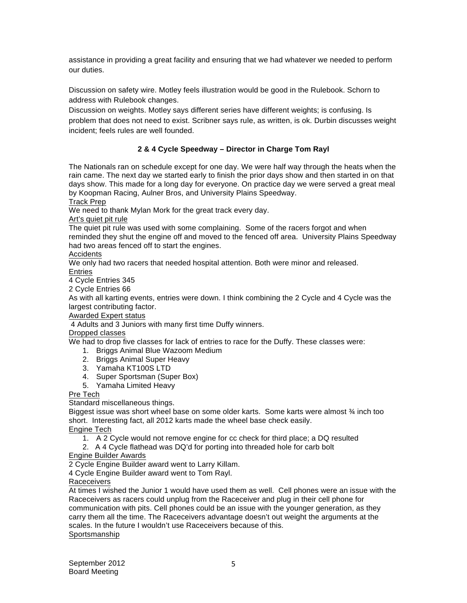assistance in providing a great facility and ensuring that we had whatever we needed to perform our duties.

Discussion on safety wire. Motley feels illustration would be good in the Rulebook. Schorn to address with Rulebook changes.

Discussion on weights. Motley says different series have different weights; is confusing. Is problem that does not need to exist. Scribner says rule, as written, is ok. Durbin discusses weight incident; feels rules are well founded.

# **2 & 4 Cycle Speedway – Director in Charge Tom Rayl**

The Nationals ran on schedule except for one day. We were half way through the heats when the rain came. The next day we started early to finish the prior days show and then started in on that days show. This made for a long day for everyone. On practice day we were served a great meal by Koopman Racing, Aulner Bros, and University Plains Speedway.

Track Prep

We need to thank Mylan Mork for the great track every day.

Art's quiet pit rule

The quiet pit rule was used with some complaining. Some of the racers forgot and when reminded they shut the engine off and moved to the fenced off area. University Plains Speedway had two areas fenced off to start the engines.

Accidents

We only had two racers that needed hospital attention. Both were minor and released. Entries

4 Cycle Entries 345 2 Cycle Entries 66

As with all karting events, entries were down. I think combining the 2 Cycle and 4 Cycle was the largest contributing factor.

Awarded Expert status

4 Adults and 3 Juniors with many first time Duffy winners.

Dropped classes

We had to drop five classes for lack of entries to race for the Duffy. These classes were:

- 1. Briggs Animal Blue Wazoom Medium
- 2. Briggs Animal Super Heavy
- 3. Yamaha KT100S LTD
- 4. Super Sportsman (Super Box)
- 5. Yamaha Limited Heavy

Pre Tech

Standard miscellaneous things.

Biggest issue was short wheel base on some older karts. Some karts were almost ¾ inch too short. Interesting fact, all 2012 karts made the wheel base check easily.

Engine Tech

1. A 2 Cycle would not remove engine for cc check for third place; a DQ resulted

2. A 4 Cycle flathead was DQ'd for porting into threaded hole for carb bolt

Engine Builder Awards

2 Cycle Engine Builder award went to Larry Killam.

4 Cycle Engine Builder award went to Tom Rayl.

**Raceceivers** 

At times I wished the Junior 1 would have used them as well. Cell phones were an issue with the Raceceivers as racers could unplug from the Raceceiver and plug in their cell phone for communication with pits. Cell phones could be an issue with the younger generation, as they carry them all the time. The Raceceivers advantage doesn't out weight the arguments at the scales. In the future I wouldn't use Raceceivers because of this. Sportsmanship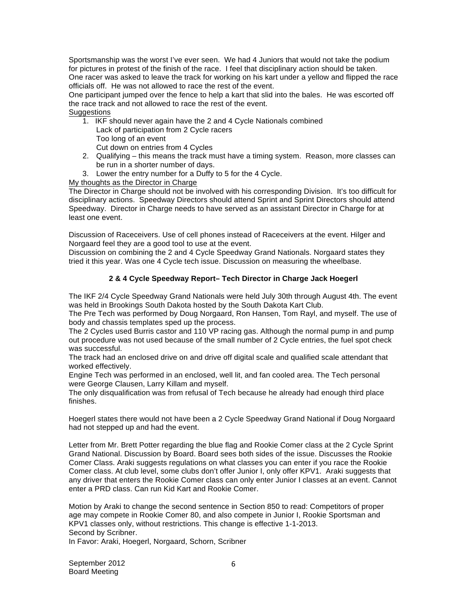Sportsmanship was the worst I've ever seen. We had 4 Juniors that would not take the podium for pictures in protest of the finish of the race. I feel that disciplinary action should be taken. One racer was asked to leave the track for working on his kart under a yellow and flipped the race officials off. He was not allowed to race the rest of the event.

One participant jumped over the fence to help a kart that slid into the bales. He was escorted off the race track and not allowed to race the rest of the event. **Suggestions** 

1. IKF should never again have the 2 and 4 Cycle Nationals combined Lack of participation from 2 Cycle racers Too long of an event

Cut down on entries from 4 Cycles

- 2. Qualifying this means the track must have a timing system. Reason, more classes can be run in a shorter number of days.
- 3. Lower the entry number for a Duffy to 5 for the 4 Cycle.

My thoughts as the Director in Charge

The Director in Charge should not be involved with his corresponding Division. It's too difficult for disciplinary actions. Speedway Directors should attend Sprint and Sprint Directors should attend Speedway. Director in Charge needs to have served as an assistant Director in Charge for at least one event.

Discussion of Raceceivers. Use of cell phones instead of Raceceivers at the event. Hilger and Norgaard feel they are a good tool to use at the event.

Discussion on combining the 2 and 4 Cycle Speedway Grand Nationals. Norgaard states they tried it this year. Was one 4 Cycle tech issue. Discussion on measuring the wheelbase.

# **2 & 4 Cycle Speedway Report– Tech Director in Charge Jack Hoegerl**

The IKF 2/4 Cycle Speedway Grand Nationals were held July 30th through August 4th. The event was held in Brookings South Dakota hosted by the South Dakota Kart Club.

The Pre Tech was performed by Doug Norgaard, Ron Hansen, Tom Rayl, and myself. The use of body and chassis templates sped up the process.

The 2 Cycles used Burris castor and 110 VP racing gas. Although the normal pump in and pump out procedure was not used because of the small number of 2 Cycle entries, the fuel spot check was successful.

The track had an enclosed drive on and drive off digital scale and qualified scale attendant that worked effectively.

Engine Tech was performed in an enclosed, well lit, and fan cooled area. The Tech personal were George Clausen, Larry Killam and myself.

The only disqualification was from refusal of Tech because he already had enough third place finishes.

Hoegerl states there would not have been a 2 Cycle Speedway Grand National if Doug Norgaard had not stepped up and had the event.

Letter from Mr. Brett Potter regarding the blue flag and Rookie Comer class at the 2 Cycle Sprint Grand National. Discussion by Board. Board sees both sides of the issue. Discusses the Rookie Comer Class. Araki suggests regulations on what classes you can enter if you race the Rookie Comer class. At club level, some clubs don't offer Junior I, only offer KPV1. Araki suggests that any driver that enters the Rookie Comer class can only enter Junior I classes at an event. Cannot enter a PRD class. Can run Kid Kart and Rookie Comer.

Motion by Araki to change the second sentence in Section 850 to read: Competitors of proper age may compete in Rookie Comer 80, and also compete in Junior I, Rookie Sportsman and KPV1 classes only, without restrictions. This change is effective 1-1-2013. Second by Scribner.

In Favor: Araki, Hoegerl, Norgaard, Schorn, Scribner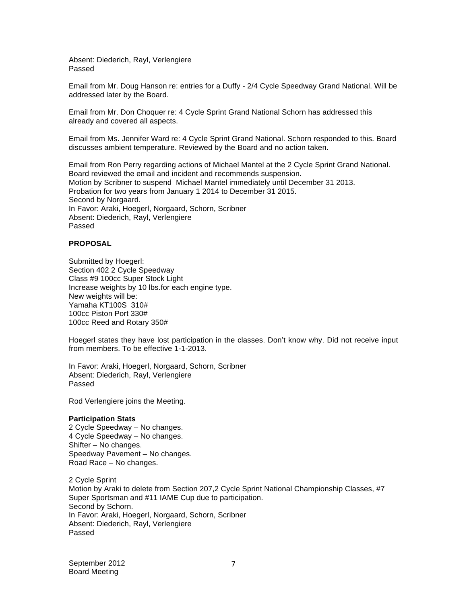Absent: Diederich, Rayl, Verlengiere Passed

Email from Mr. Doug Hanson re: entries for a Duffy - 2/4 Cycle Speedway Grand National. Will be addressed later by the Board.

Email from Mr. Don Choquer re: 4 Cycle Sprint Grand National Schorn has addressed this already and covered all aspects.

Email from Ms. Jennifer Ward re: 4 Cycle Sprint Grand National. Schorn responded to this. Board discusses ambient temperature. Reviewed by the Board and no action taken.

Email from Ron Perry regarding actions of Michael Mantel at the 2 Cycle Sprint Grand National. Board reviewed the email and incident and recommends suspension. Motion by Scribner to suspend Michael Mantel immediately until December 31 2013. Probation for two years from January 1 2014 to December 31 2015. Second by Norgaard. In Favor: Araki, Hoegerl, Norgaard, Schorn, Scribner Absent: Diederich, Rayl, Verlengiere Passed

## **PROPOSAL**

Submitted by Hoegerl: Section 402 2 Cycle Speedway Class #9 100cc Super Stock Light Increase weights by 10 lbs.for each engine type. New weights will be: Yamaha KT100S 310# 100cc Piston Port 330# 100cc Reed and Rotary 350#

Hoegerl states they have lost participation in the classes. Don't know why. Did not receive input from members. To be effective 1-1-2013.

In Favor: Araki, Hoegerl, Norgaard, Schorn, Scribner Absent: Diederich, Rayl, Verlengiere Passed

Rod Verlengiere joins the Meeting.

## **Participation Stats**

2 Cycle Speedway – No changes. 4 Cycle Speedway – No changes. Shifter – No changes. Speedway Pavement – No changes. Road Race – No changes.

2 Cycle Sprint Motion by Araki to delete from Section 207,2 Cycle Sprint National Championship Classes, #7 Super Sportsman and #11 IAME Cup due to participation. Second by Schorn. In Favor: Araki, Hoegerl, Norgaard, Schorn, Scribner Absent: Diederich, Rayl, Verlengiere Passed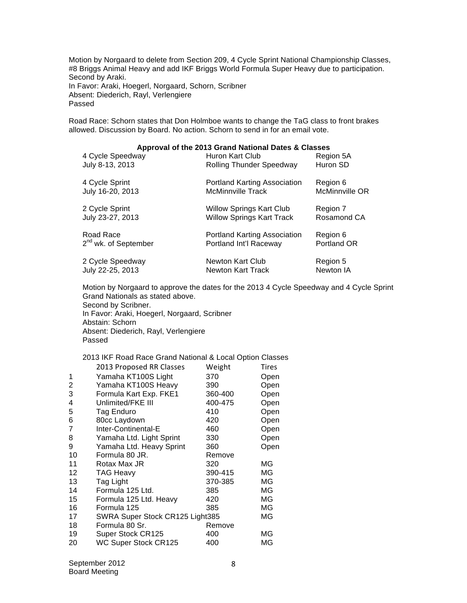Motion by Norgaard to delete from Section 209, 4 Cycle Sprint National Championship Classes, #8 Briggs Animal Heavy and add IKF Briggs World Formula Super Heavy due to participation. Second by Araki. In Favor: Araki, Hoegerl, Norgaard, Schorn, Scribner Absent: Diederich, Rayl, Verlengiere Passed

Road Race: Schorn states that Don Holmboe wants to change the TaG class to front brakes allowed. Discussion by Board. No action. Schorn to send in for an email vote.

| Approval of the 2013 Grand National Dates & Classes |                                     |                |  |
|-----------------------------------------------------|-------------------------------------|----------------|--|
| 4 Cycle Speedway                                    | Huron Kart Club                     | Region 5A      |  |
| July 8-13, 2013                                     | <b>Rolling Thunder Speedway</b>     | Huron SD       |  |
| 4 Cycle Sprint                                      | Portland Karting Association        | Region 6       |  |
| July 16-20, 2013                                    | <b>McMinnville Track</b>            | McMinnville OR |  |
| 2 Cycle Sprint                                      | <b>Willow Springs Kart Club</b>     | Region 7       |  |
| July 23-27, 2013                                    | <b>Willow Springs Kart Track</b>    | Rosamond CA    |  |
| Road Race                                           | <b>Portland Karting Association</b> | Region 6       |  |
| 2 <sup>nd</sup> wk. of September                    | Portland Int'l Raceway              | Portland OR    |  |
| 2 Cycle Speedway                                    | <b>Newton Kart Club</b>             | Region 5       |  |
| July 22-25, 2013                                    | Newton Kart Track                   | Newton IA      |  |

Motion by Norgaard to approve the dates for the 2013 4 Cycle Speedway and 4 Cycle Sprint Grand Nationals as stated above. Second by Scribner. In Favor: Araki, Hoegerl, Norgaard, Scribner Abstain: Schorn Absent: Diederich, Rayl, Verlengiere Passed

## 2013 IKF Road Race Grand National & Local Option Classes

|    | 2013 Proposed RR Classes        | Weight  | Tires |
|----|---------------------------------|---------|-------|
| 1  | Yamaha KT100S Light             | 370     | Open  |
| 2  | Yamaha KT100S Heavy             | 390     | Open  |
| 3  | Formula Kart Exp. FKE1          | 360-400 | Open  |
| 4  | Unlimited/FKE III               | 400-475 | Open  |
| 5  | Tag Enduro                      | 410     | Open  |
| 6  | 80cc Laydown                    | 420     | Open  |
| 7  | Inter-Continental-E             | 460     | Open  |
| 8  | Yamaha Ltd. Light Sprint        | 330     | Open  |
| 9  | Yamaha Ltd. Heavy Sprint        | 360     | Open  |
| 10 | Formula 80 JR.                  | Remove  |       |
| 11 | Rotax Max JR                    | 320     | МG    |
| 12 | TAG Heavy                       | 390-415 | МG    |
| 13 | Tag Light                       | 370-385 | МG    |
| 14 | Formula 125 Ltd.                | 385     | ΜG    |
| 15 | Formula 125 Ltd. Heavy          | 420     | ΜG    |
| 16 | Formula 125                     | 385     | ΜG    |
| 17 | SWRA Super Stock CR125 Light385 |         | МG    |
| 18 | Formula 80 Sr.                  | Remove  |       |
| 19 | Super Stock CR125               | 400     | ΜG    |
| 20 | WC Super Stock CR125            | 400     | ΜG    |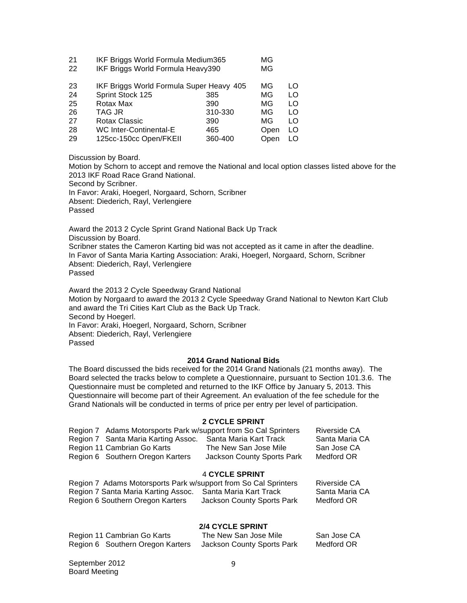| 21 | IKF Briggs World Formula Medium365 | MG. |
|----|------------------------------------|-----|
| 22 | IKF Briggs World Formula Heavy390  | MG. |

| 23 | IKF Briggs World Formula Super Heavy 405 |         | ΜG   | LO  |
|----|------------------------------------------|---------|------|-----|
| 24 | Sprint Stock 125                         | 385     | MG   | LO  |
| 25 | Rotax Max                                | 390     | MG   | LO  |
| 26 | TAG JR                                   | 310-330 | MG   | LO  |
| 27 | Rotax Classic                            | 390     | MG   | LO  |
| 28 | <b>WC Inter-Continental-E</b>            | 465     | Open | LO. |
| 29 | 125cc-150cc Open/FKEII                   | 360-400 | Open | LO  |

Discussion by Board.

Motion by Schorn to accept and remove the National and local option classes listed above for the 2013 IKF Road Race Grand National.

Second by Scribner.

In Favor: Araki, Hoegerl, Norgaard, Schorn, Scribner Absent: Diederich, Rayl, Verlengiere Passed

Award the 2013 2 Cycle Sprint Grand National Back Up Track Discussion by Board. Scribner states the Cameron Karting bid was not accepted as it came in after the deadline. In Favor of Santa Maria Karting Association: Araki, Hoegerl, Norgaard, Schorn, Scribner Absent: Diederich, Rayl, Verlengiere Passed

Award the 2013 2 Cycle Speedway Grand National Motion by Norgaard to award the 2013 2 Cycle Speedway Grand National to Newton Kart Club and award the Tri Cities Kart Club as the Back Up Track. Second by Hoegerl. In Favor: Araki, Hoegerl, Norgaard, Schorn, Scribner Absent: Diederich, Rayl, Verlengiere Passed

## **2014 Grand National Bids**

The Board discussed the bids received for the 2014 Grand Nationals (21 months away). The Board selected the tracks below to complete a Questionnaire, pursuant to Section 101.3.6. The Questionnaire must be completed and returned to the IKF Office by January 5, 2013. This Questionnaire will become part of their Agreement. An evaluation of the fee schedule for the Grand Nationals will be conducted in terms of price per entry per level of participation.

## **2 CYCLE SPRINT**

|                       | Region 7 Adams Motorsports Park w/support from So Cal Sprinters |                            | <b>Riverside CA</b> |
|-----------------------|-----------------------------------------------------------------|----------------------------|---------------------|
|                       | Region 7 Santa Maria Karting Assoc.                             | Santa Maria Kart Track     | Santa Maria CA      |
|                       | Region 11 Cambrian Go Karts                                     | The New San Jose Mile      | San Jose CA         |
|                       | Region 6 Southern Oregon Karters                                | Jackson County Sports Park | Medford OR          |
| <b>4 CYCLE SPRINT</b> |                                                                 |                            |                     |
|                       | Region 7 Adams Motorsports Park w/support from So Cal Sprinters |                            | <b>Riverside CA</b> |

| Region 7 Adams Motorsports Park w/support from So Cal Sprinters |                            | Riverside CA   |
|-----------------------------------------------------------------|----------------------------|----------------|
| Region 7 Santa Maria Karting Assoc.                             | - Santa Maria Kart Track   | Santa Maria CA |
| Region 6 Southern Oregon Karters                                | Jackson County Sports Park | Medford OR     |

## **2/4 CYCLE SPRINT**

| Region 11 Cambrian Go Karts      | The New San Jose Mile      | San Jose CA |
|----------------------------------|----------------------------|-------------|
| Region 6 Southern Oregon Karters | Jackson County Sports Park | Medford OR  |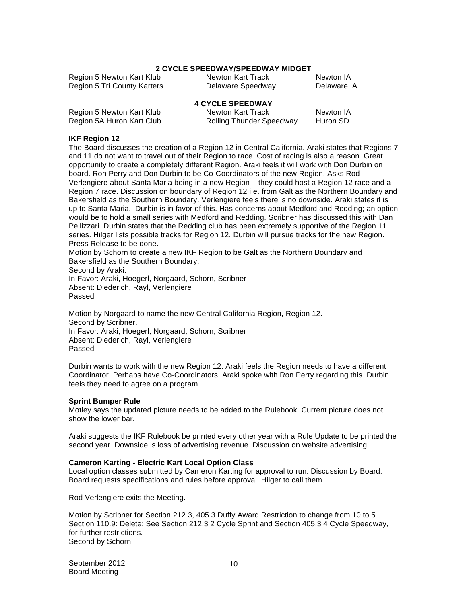#### **2 CYCLE SPEEDWAY/SPEEDWAY MIDGET**

Region 5 Newton Kart Klub Newton Kart Track Newton IA<br>Region 5 Tri County Karters Delaware Speedway Delaware IA Region 5 Tri County Karters Delaware Speedway

|                           | <b>4 CYCLE SPEEDWAY</b>         |           |
|---------------------------|---------------------------------|-----------|
| Region 5 Newton Kart Klub | Newton Kart Track               | Newton IA |
| Region 5A Huron Kart Club | <b>Rolling Thunder Speedway</b> | Huron SD  |

#### **IKF Region 12**

The Board discusses the creation of a Region 12 in Central California. Araki states that Regions 7 and 11 do not want to travel out of their Region to race. Cost of racing is also a reason. Great opportunity to create a completely different Region. Araki feels it will work with Don Durbin on board. Ron Perry and Don Durbin to be Co-Coordinators of the new Region. Asks Rod Verlengiere about Santa Maria being in a new Region – they could host a Region 12 race and a Region 7 race. Discussion on boundary of Region 12 i.e. from Galt as the Northern Boundary and Bakersfield as the Southern Boundary. Verlengiere feels there is no downside. Araki states it is up to Santa Maria. Durbin is in favor of this. Has concerns about Medford and Redding; an option would be to hold a small series with Medford and Redding. Scribner has discussed this with Dan Pellizzari. Durbin states that the Redding club has been extremely supportive of the Region 11 series. Hilger lists possible tracks for Region 12. Durbin will pursue tracks for the new Region. Press Release to be done.

Motion by Schorn to create a new IKF Region to be Galt as the Northern Boundary and Bakersfield as the Southern Boundary. Second by Araki.

In Favor: Araki, Hoegerl, Norgaard, Schorn, Scribner Absent: Diederich, Rayl, Verlengiere Passed

Motion by Norgaard to name the new Central California Region, Region 12. Second by Scribner. In Favor: Araki, Hoegerl, Norgaard, Schorn, Scribner Absent: Diederich, Rayl, Verlengiere Passed

Durbin wants to work with the new Region 12. Araki feels the Region needs to have a different Coordinator. Perhaps have Co-Coordinators. Araki spoke with Ron Perry regarding this. Durbin feels they need to agree on a program.

## **Sprint Bumper Rule**

Motley says the updated picture needs to be added to the Rulebook. Current picture does not show the lower bar.

Araki suggests the IKF Rulebook be printed every other year with a Rule Update to be printed the second year. Downside is loss of advertising revenue. Discussion on website advertising.

## **Cameron Karting - Electric Kart Local Option Class**

Local option classes submitted by Cameron Karting for approval to run. Discussion by Board. Board requests specifications and rules before approval. Hilger to call them.

Rod Verlengiere exits the Meeting.

Motion by Scribner for Section 212.3, 405.3 Duffy Award Restriction to change from 10 to 5. Section 110.9: Delete: See Section 212.3 2 Cycle Sprint and Section 405.3 4 Cycle Speedway, for further restrictions. Second by Schorn.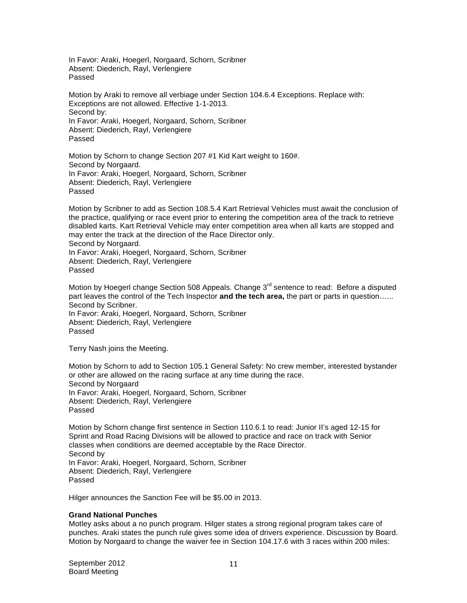In Favor: Araki, Hoegerl, Norgaard, Schorn, Scribner Absent: Diederich, Rayl, Verlengiere Passed

Motion by Araki to remove all verbiage under Section 104.6.4 Exceptions. Replace with: Exceptions are not allowed. Effective 1-1-2013. Second by: In Favor: Araki, Hoegerl, Norgaard, Schorn, Scribner Absent: Diederich, Rayl, Verlengiere Passed

Motion by Schorn to change Section 207 #1 Kid Kart weight to 160#. Second by Norgaard. In Favor: Araki, Hoegerl, Norgaard, Schorn, Scribner Absent: Diederich, Rayl, Verlengiere Passed

Motion by Scribner to add as Section 108.5.4 Kart Retrieval Vehicles must await the conclusion of the practice, qualifying or race event prior to entering the competition area of the track to retrieve disabled karts. Kart Retrieval Vehicle may enter competition area when all karts are stopped and may enter the track at the direction of the Race Director only. Second by Norgaard. In Favor: Araki, Hoegerl, Norgaard, Schorn, Scribner Absent: Diederich, Rayl, Verlengiere Passed

Motion by Hoegerl change Section 508 Appeals. Change 3<sup>rd</sup> sentence to read: Before a disputed part leaves the control of the Tech Inspector **and the tech area,** the part or parts in question…... Second by Scribner. In Favor: Araki, Hoegerl, Norgaard, Schorn, Scribner Absent: Diederich, Rayl, Verlengiere Passed

Terry Nash joins the Meeting.

Motion by Schorn to add to Section 105.1 General Safety: No crew member, interested bystander or other are allowed on the racing surface at any time during the race. Second by Norgaard In Favor: Araki, Hoegerl, Norgaard, Schorn, Scribner Absent: Diederich, Rayl, Verlengiere Passed

Motion by Schorn change first sentence in Section 110.6.1 to read: Junior II's aged 12-15 for Sprint and Road Racing Divisions will be allowed to practice and race on track with Senior classes when conditions are deemed acceptable by the Race Director. Second by In Favor: Araki, Hoegerl, Norgaard, Schorn, Scribner Absent: Diederich, Rayl, Verlengiere Passed

Hilger announces the Sanction Fee will be \$5.00 in 2013.

## **Grand National Punches**

Motley asks about a no punch program. Hilger states a strong regional program takes care of punches. Araki states the punch rule gives some idea of drivers experience. Discussion by Board. Motion by Norgaard to change the waiver fee in Section 104.17.6 with 3 races within 200 miles: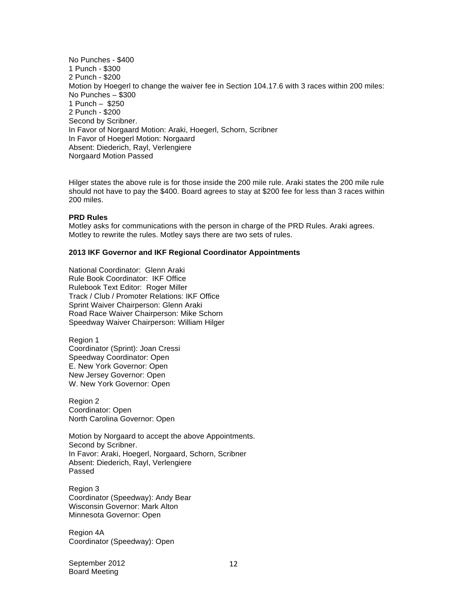No Punches - \$400 1 Punch - \$300 2 Punch - \$200 Motion by Hoegerl to change the waiver fee in Section 104.17.6 with 3 races within 200 miles: No Punches – \$300 1 Punch – \$250 2 Punch - \$200 Second by Scribner. In Favor of Norgaard Motion: Araki, Hoegerl, Schorn, Scribner In Favor of Hoegerl Motion: Norgaard Absent: Diederich, Rayl, Verlengiere Norgaard Motion Passed

Hilger states the above rule is for those inside the 200 mile rule. Araki states the 200 mile rule should not have to pay the \$400. Board agrees to stay at \$200 fee for less than 3 races within 200 miles.

#### **PRD Rules**

Motley asks for communications with the person in charge of the PRD Rules. Araki agrees. Motley to rewrite the rules. Motley says there are two sets of rules.

#### **2013 IKF Governor and IKF Regional Coordinator Appointments**

National Coordinator: Glenn Araki Rule Book Coordinator: IKF Office Rulebook Text Editor: Roger Miller Track / Club / Promoter Relations: IKF Office Sprint Waiver Chairperson: Glenn Araki Road Race Waiver Chairperson: Mike Schorn Speedway Waiver Chairperson: William Hilger

Region 1 Coordinator (Sprint): Joan Cressi Speedway Coordinator: Open E. New York Governor: Open New Jersey Governor: Open W. New York Governor: Open

Region 2 Coordinator: Open North Carolina Governor: Open

Motion by Norgaard to accept the above Appointments. Second by Scribner. In Favor: Araki, Hoegerl, Norgaard, Schorn, Scribner Absent: Diederich, Rayl, Verlengiere Passed

Region 3 Coordinator (Speedway): Andy Bear Wisconsin Governor: Mark Alton Minnesota Governor: Open

Region 4A Coordinator (Speedway): Open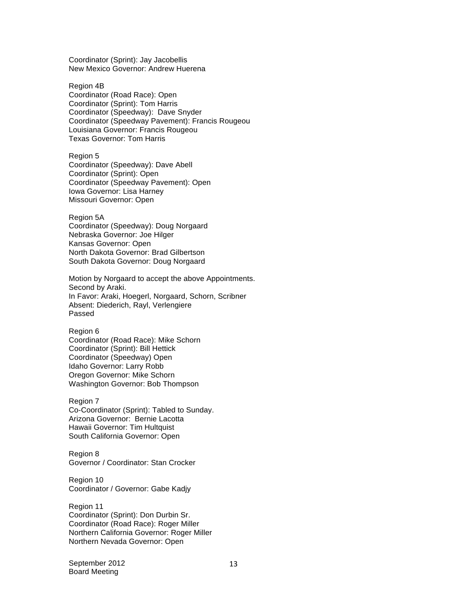Coordinator (Sprint): Jay Jacobellis New Mexico Governor: Andrew Huerena

Region 4B Coordinator (Road Race): Open Coordinator (Sprint): Tom Harris Coordinator (Speedway): Dave Snyder Coordinator (Speedway Pavement): Francis Rougeou Louisiana Governor: Francis Rougeou Texas Governor: Tom Harris

Region 5 Coordinator (Speedway): Dave Abell Coordinator (Sprint): Open Coordinator (Speedway Pavement): Open Iowa Governor: Lisa Harney Missouri Governor: Open

Region 5A Coordinator (Speedway): Doug Norgaard Nebraska Governor: Joe Hilger Kansas Governor: Open North Dakota Governor: Brad Gilbertson South Dakota Governor: Doug Norgaard

Motion by Norgaard to accept the above Appointments. Second by Araki. In Favor: Araki, Hoegerl, Norgaard, Schorn, Scribner Absent: Diederich, Rayl, Verlengiere Passed

Region 6 Coordinator (Road Race): Mike Schorn Coordinator (Sprint): Bill Hettick Coordinator (Speedway) Open Idaho Governor: Larry Robb Oregon Governor: Mike Schorn Washington Governor: Bob Thompson

Region 7 Co-Coordinator (Sprint): Tabled to Sunday. Arizona Governor: Bernie Lacotta Hawaii Governor: Tim Hultquist South California Governor: Open

Region 8 Governor / Coordinator: Stan Crocker

Region 10 Coordinator / Governor: Gabe Kadjy

Region 11 Coordinator (Sprint): Don Durbin Sr. Coordinator (Road Race): Roger Miller Northern California Governor: Roger Miller Northern Nevada Governor: Open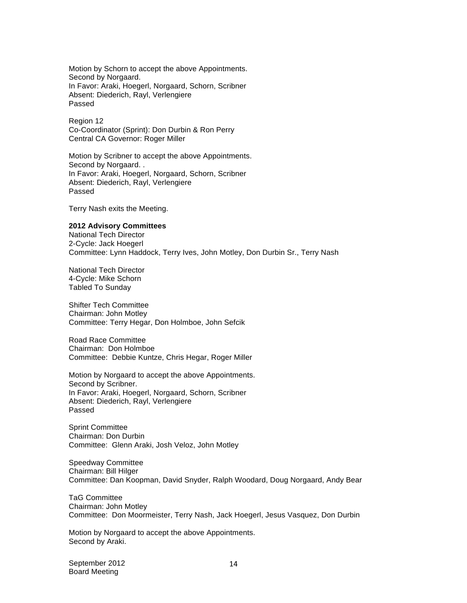Motion by Schorn to accept the above Appointments. Second by Norgaard. In Favor: Araki, Hoegerl, Norgaard, Schorn, Scribner Absent: Diederich, Rayl, Verlengiere Passed

Region 12 Co-Coordinator (Sprint): Don Durbin & Ron Perry Central CA Governor: Roger Miller

Motion by Scribner to accept the above Appointments. Second by Norgaard. . In Favor: Araki, Hoegerl, Norgaard, Schorn, Scribner Absent: Diederich, Rayl, Verlengiere Passed

Terry Nash exits the Meeting.

## **2012 Advisory Committees**

National Tech Director 2-Cycle: Jack Hoegerl Committee: Lynn Haddock, Terry Ives, John Motley, Don Durbin Sr., Terry Nash

National Tech Director 4-Cycle: Mike Schorn Tabled To Sunday

Shifter Tech Committee Chairman: John Motley Committee: Terry Hegar, Don Holmboe, John Sefcik

Road Race Committee Chairman: Don Holmboe Committee: Debbie Kuntze, Chris Hegar, Roger Miller

Motion by Norgaard to accept the above Appointments. Second by Scribner. In Favor: Araki, Hoegerl, Norgaard, Schorn, Scribner Absent: Diederich, Rayl, Verlengiere Passed

Sprint Committee Chairman: Don Durbin Committee: Glenn Araki, Josh Veloz, John Motley

Speedway Committee Chairman: Bill Hilger Committee: Dan Koopman, David Snyder, Ralph Woodard, Doug Norgaard, Andy Bear

TaG Committee Chairman: John Motley Committee: Don Moormeister, Terry Nash, Jack Hoegerl, Jesus Vasquez, Don Durbin

Motion by Norgaard to accept the above Appointments. Second by Araki.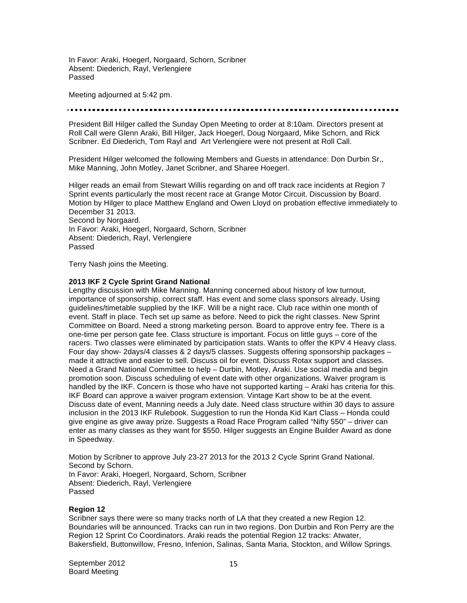In Favor: Araki, Hoegerl, Norgaard, Schorn, Scribner Absent: Diederich, Rayl, Verlengiere Passed

Meeting adjourned at 5:42 pm.

President Bill Hilger called the Sunday Open Meeting to order at 8:10am. Directors present at Roll Call were Glenn Araki, Bill Hilger, Jack Hoegerl, Doug Norgaard, Mike Schorn, and Rick Scribner. Ed Diederich, Tom Rayl and Art Verlengiere were not present at Roll Call.

President Hilger welcomed the following Members and Guests in attendance: Don Durbin Sr., Mike Manning, John Motley, Janet Scribner, and Sharee Hoegerl.

Hilger reads an email from Stewart Willis regarding on and off track race incidents at Region 7 Sprint events particularly the most recent race at Grange Motor Circuit. Discussion by Board. Motion by Hilger to place Matthew England and Owen Lloyd on probation effective immediately to December 31 2013. Second by Norgaard. In Favor: Araki, Hoegerl, Norgaard, Schorn, Scribner Absent: Diederich, Rayl, Verlengiere Passed

Terry Nash joins the Meeting.

## **2013 IKF 2 Cycle Sprint Grand National**

Lengthy discussion with Mike Manning. Manning concerned about history of low turnout, importance of sponsorship, correct staff. Has event and some class sponsors already. Using guidelines/timetable supplied by the IKF. Will be a night race. Club race within one month of event. Staff in place. Tech set up same as before. Need to pick the right classes. New Sprint Committee on Board. Need a strong marketing person. Board to approve entry fee. There is a one-time per person gate fee. Class structure is important. Focus on little guys – core of the racers. Two classes were eliminated by participation stats. Wants to offer the KPV 4 Heavy class. Four day show- 2days/4 classes & 2 days/5 classes. Suggests offering sponsorship packages – made it attractive and easier to sell. Discuss oil for event. Discuss Rotax support and classes. Need a Grand National Committee to help – Durbin, Motley, Araki. Use social media and begin promotion soon. Discuss scheduling of event date with other organizations. Waiver program is handled by the IKF. Concern is those who have not supported karting – Araki has criteria for this. IKF Board can approve a waiver program extension. Vintage Kart show to be at the event. Discuss date of event, Manning needs a July date. Need class structure within 30 days to assure inclusion in the 2013 IKF Rulebook. Suggestion to run the Honda Kid Kart Class – Honda could give engine as give away prize. Suggests a Road Race Program called "Nifty 550" – driver can enter as many classes as they want for \$550. Hilger suggests an Engine Builder Award as done in Speedway.

Motion by Scribner to approve July 23-27 2013 for the 2013 2 Cycle Sprint Grand National. Second by Schorn. In Favor: Araki, Hoegerl, Norgaard, Schorn, Scribner Absent: Diederich, Rayl, Verlengiere Passed

## **Region 12**

Scribner says there were so many tracks north of LA that they created a new Region 12. Boundaries will be announced. Tracks can run in two regions. Don Durbin and Ron Perry are the Region 12 Sprint Co Coordinators. Araki reads the potential Region 12 tracks: Atwater, Bakersfield, Buttonwillow, Fresno, Infenion, Salinas, Santa Maria, Stockton, and Willow Springs.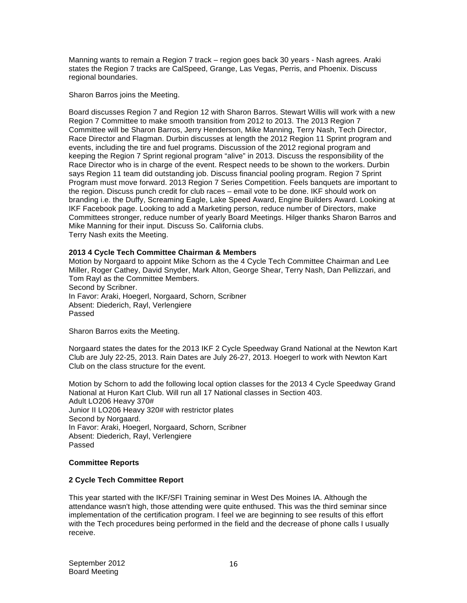Manning wants to remain a Region 7 track – region goes back 30 years - Nash agrees. Araki states the Region 7 tracks are CalSpeed, Grange, Las Vegas, Perris, and Phoenix. Discuss regional boundaries.

Sharon Barros joins the Meeting.

Board discusses Region 7 and Region 12 with Sharon Barros. Stewart Willis will work with a new Region 7 Committee to make smooth transition from 2012 to 2013. The 2013 Region 7 Committee will be Sharon Barros, Jerry Henderson, Mike Manning, Terry Nash, Tech Director, Race Director and Flagman. Durbin discusses at length the 2012 Region 11 Sprint program and events, including the tire and fuel programs. Discussion of the 2012 regional program and keeping the Region 7 Sprint regional program "alive" in 2013. Discuss the responsibility of the Race Director who is in charge of the event. Respect needs to be shown to the workers. Durbin says Region 11 team did outstanding job. Discuss financial pooling program. Region 7 Sprint Program must move forward. 2013 Region 7 Series Competition. Feels banquets are important to the region. Discuss punch credit for club races – email vote to be done. IKF should work on branding i.e. the Duffy, Screaming Eagle, Lake Speed Award, Engine Builders Award. Looking at IKF Facebook page. Looking to add a Marketing person, reduce number of Directors, make Committees stronger, reduce number of yearly Board Meetings. Hilger thanks Sharon Barros and Mike Manning for their input. Discuss So. California clubs. Terry Nash exits the Meeting.

## **2013 4 Cycle Tech Committee Chairman & Members**

Motion by Norgaard to appoint Mike Schorn as the 4 Cycle Tech Committee Chairman and Lee Miller, Roger Cathey, David Snyder, Mark Alton, George Shear, Terry Nash, Dan Pellizzari, and Tom Rayl as the Committee Members. Second by Scribner. In Favor: Araki, Hoegerl, Norgaard, Schorn, Scribner Absent: Diederich, Rayl, Verlengiere Passed

Sharon Barros exits the Meeting.

Norgaard states the dates for the 2013 IKF 2 Cycle Speedway Grand National at the Newton Kart Club are July 22-25, 2013. Rain Dates are July 26-27, 2013. Hoegerl to work with Newton Kart Club on the class structure for the event.

Motion by Schorn to add the following local option classes for the 2013 4 Cycle Speedway Grand National at Huron Kart Club. Will run all 17 National classes in Section 403. Adult LO206 Heavy 370# Junior II LO206 Heavy 320# with restrictor plates Second by Norgaard. In Favor: Araki, Hoegerl, Norgaard, Schorn, Scribner Absent: Diederich, Rayl, Verlengiere Passed

## **Committee Reports**

## **2 Cycle Tech Committee Report**

This year started with the IKF/SFI Training seminar in West Des Moines IA. Although the attendance wasn't high, those attending were quite enthused. This was the third seminar since implementation of the certification program. I feel we are beginning to see results of this effort with the Tech procedures being performed in the field and the decrease of phone calls I usually receive.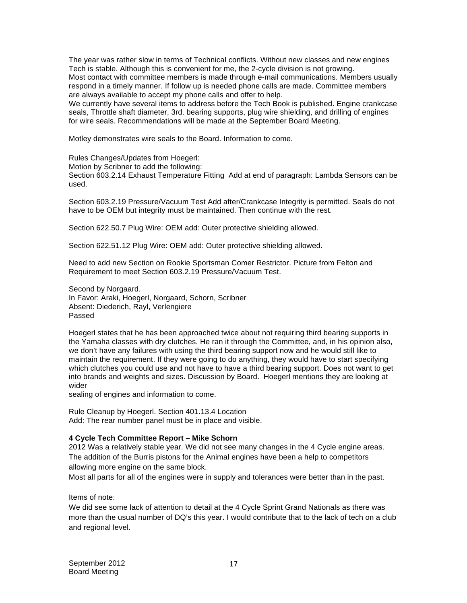The year was rather slow in terms of Technical conflicts. Without new classes and new engines Tech is stable. Although this is convenient for me, the 2-cycle division is not growing. Most contact with committee members is made through e-mail communications. Members usually respond in a timely manner. If follow up is needed phone calls are made. Committee members are always available to accept my phone calls and offer to help.

We currently have several items to address before the Tech Book is published. Engine crankcase seals, Throttle shaft diameter, 3rd. bearing supports, plug wire shielding, and drilling of engines for wire seals. Recommendations will be made at the September Board Meeting.

Motley demonstrates wire seals to the Board. Information to come.

Rules Changes/Updates from Hoegerl:

Motion by Scribner to add the following:

Section 603.2.14 Exhaust Temperature Fitting Add at end of paragraph: Lambda Sensors can be used.

Section 603.2.19 Pressure/Vacuum Test Add after/Crankcase Integrity is permitted. Seals do not have to be OEM but integrity must be maintained. Then continue with the rest.

Section 622.50.7 Plug Wire: OEM add: Outer protective shielding allowed.

Section 622.51.12 Plug Wire: OEM add: Outer protective shielding allowed.

Need to add new Section on Rookie Sportsman Comer Restrictor. Picture from Felton and Requirement to meet Section 603.2.19 Pressure/Vacuum Test.

Second by Norgaard. In Favor: Araki, Hoegerl, Norgaard, Schorn, Scribner Absent: Diederich, Rayl, Verlengiere Passed

Hoegerl states that he has been approached twice about not requiring third bearing supports in the Yamaha classes with dry clutches. He ran it through the Committee, and, in his opinion also, we don't have any failures with using the third bearing support now and he would still like to maintain the requirement. If they were going to do anything, they would have to start specifying which clutches you could use and not have to have a third bearing support. Does not want to get into brands and weights and sizes. Discussion by Board. Hoegerl mentions they are looking at wider

sealing of engines and information to come.

Rule Cleanup by Hoegerl. Section 401.13.4 Location Add: The rear number panel must be in place and visible.

## **4 Cycle Tech Committee Report – Mike Schorn**

2012 Was a relatively stable year. We did not see many changes in the 4 Cycle engine areas. The addition of the Burris pistons for the Animal engines have been a help to competitors allowing more engine on the same block.

Most all parts for all of the engines were in supply and tolerances were better than in the past.

Items of note:

We did see some lack of attention to detail at the 4 Cycle Sprint Grand Nationals as there was more than the usual number of DQ's this year. I would contribute that to the lack of tech on a club and regional level.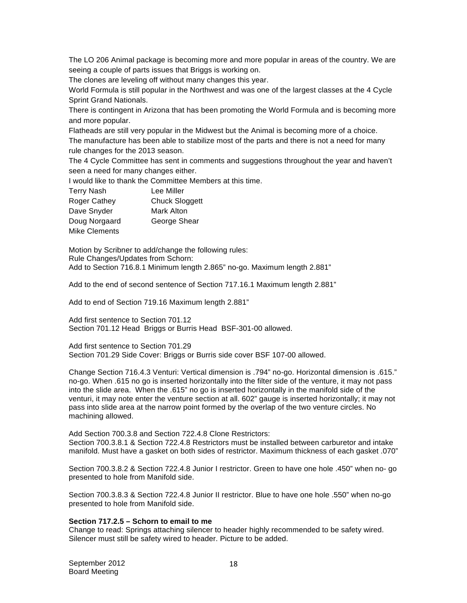The LO 206 Animal package is becoming more and more popular in areas of the country. We are seeing a couple of parts issues that Briggs is working on.

The clones are leveling off without many changes this year.

World Formula is still popular in the Northwest and was one of the largest classes at the 4 Cycle Sprint Grand Nationals.

There is contingent in Arizona that has been promoting the World Formula and is becoming more and more popular.

Flatheads are still very popular in the Midwest but the Animal is becoming more of a choice. The manufacture has been able to stabilize most of the parts and there is not a need for many rule changes for the 2013 season.

The 4 Cycle Committee has sent in comments and suggestions throughout the year and haven't seen a need for many changes either.

I would like to thank the Committee Members at this time.

| <b>Terry Nash</b>   | Lee Miller            |
|---------------------|-----------------------|
| <b>Roger Cathey</b> | <b>Chuck Sloggett</b> |
| Dave Snyder         | Mark Alton            |
| Doug Norgaard       | George Shear          |
| Mike Clements       |                       |

Motion by Scribner to add/change the following rules: Rule Changes/Updates from Schorn: Add to Section 716.8.1 Minimum length 2.865" no-go. Maximum length 2.881"

Add to the end of second sentence of Section 717.16.1 Maximum length 2.881"

Add to end of Section 719.16 Maximum length 2.881"

Add first sentence to Section 701.12 Section 701.12 Head Briggs or Burris Head BSF-301-00 allowed.

Add first sentence to Section 701.29 Section 701.29 Side Cover: Briggs or Burris side cover BSF 107-00 allowed.

Change Section 716.4.3 Venturi: Vertical dimension is .794" no-go. Horizontal dimension is .615." no-go. When .615 no go is inserted horizontally into the filter side of the venture, it may not pass into the slide area. When the .615" no go is inserted horizontally in the manifold side of the venturi, it may note enter the venture section at all. 602" gauge is inserted horizontally; it may not pass into slide area at the narrow point formed by the overlap of the two venture circles. No machining allowed.

Add Section 700.3.8 and Section 722.4.8 Clone Restrictors: Section 700.3.8.1 & Section 722.4.8 Restrictors must be installed between carburetor and intake manifold. Must have a gasket on both sides of restrictor. Maximum thickness of each gasket .070"

Section 700.3.8.2 & Section 722.4.8 Junior I restrictor. Green to have one hole .450" when no- go presented to hole from Manifold side.

Section 700.3.8.3 & Section 722.4.8 Junior II restrictor. Blue to have one hole .550" when no-go presented to hole from Manifold side.

## **Section 717.2.5 – Schorn to email to me**

Change to read: Springs attaching silencer to header highly recommended to be safety wired. Silencer must still be safety wired to header. Picture to be added.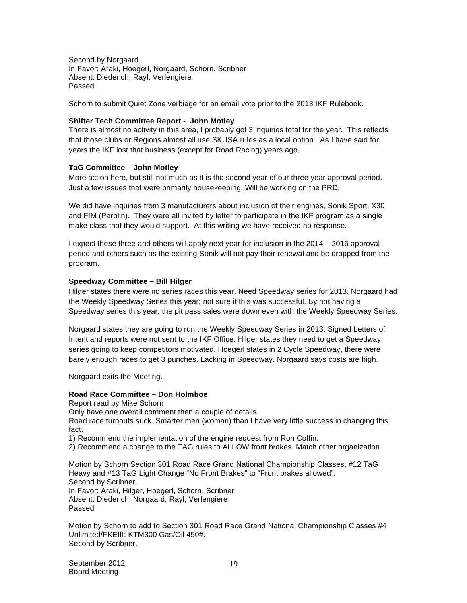Second by Norgaard. In Favor: Araki, Hoegerl, Norgaard, Schorn, Scribner Absent: Diederich, Rayl, Verlengiere Passed

Schorn to submit Quiet Zone verbiage for an email vote prior to the 2013 IKF Rulebook.

## **Shifter Tech Committee Report - John Motley**

There is almost no activity in this area, I probably got 3 inquiries total for the year. This reflects that those clubs or Regions almost all use SKUSA rules as a local option. As I have said for years the IKF lost that business (except for Road Racing) years ago.

## **TaG Committee – John Motley**

More action here, but still not much as it is the second year of our three year approval period. Just a few issues that were primarily housekeeping. Will be working on the PRD.

We did have inquiries from 3 manufacturers about inclusion of their engines, Sonik Sport, X30 and FIM (Parolin). They were all invited by letter to participate in the IKF program as a single make class that they would support. At this writing we have received no response.

I expect these three and others will apply next year for inclusion in the 2014 – 2016 approval period and others such as the existing Sonik will not pay their renewal and be dropped from the program.

## **Speedway Committee – Bill Hilger**

Hilger states there were no series races this year. Need Speedway series for 2013. Norgaard had the Weekly Speedway Series this year; not sure if this was successful. By not having a Speedway series this year, the pit pass sales were down even with the Weekly Speedway Series.

Norgaard states they are going to run the Weekly Speedway Series in 2013. Signed Letters of Intent and reports were not sent to the IKF Office. Hilger states they need to get a Speedway series going to keep competitors motivated. Hoegerl states in 2 Cycle Speedway, there were barely enough races to get 3 punches. Lacking in Speedway. Norgaard says costs are high.

Norgaard exits the Meeting**.** 

## **Road Race Committee – Don Holmboe**

Report read by Mike Schorn Only have one overall comment then a couple of details. Road race turnouts suck. Smarter men (woman) than I have very little success in changing this fact.

1) Recommend the implementation of the engine request from Ron Coffin.

2) Recommend a change to the TAG rules to ALLOW front brakes. Match other organization.

Motion by Schorn Section 301 Road Race Grand National Championship Classes, #12 TaG Heavy and #13 TaG Light Change "No Front Brakes" to "Front brakes allowed". Second by Scribner. In Favor: Araki, Hilger, Hoegerl, Schorn, Scribner Absent: Diederich, Norgaard, Rayl, Verlengiere Passed

Motion by Schorn to add to Section 301 Road Race Grand National Championship Classes #4 Unlimited/FKEIII: KTM300 Gas/Oil 450#. Second by Scribner.